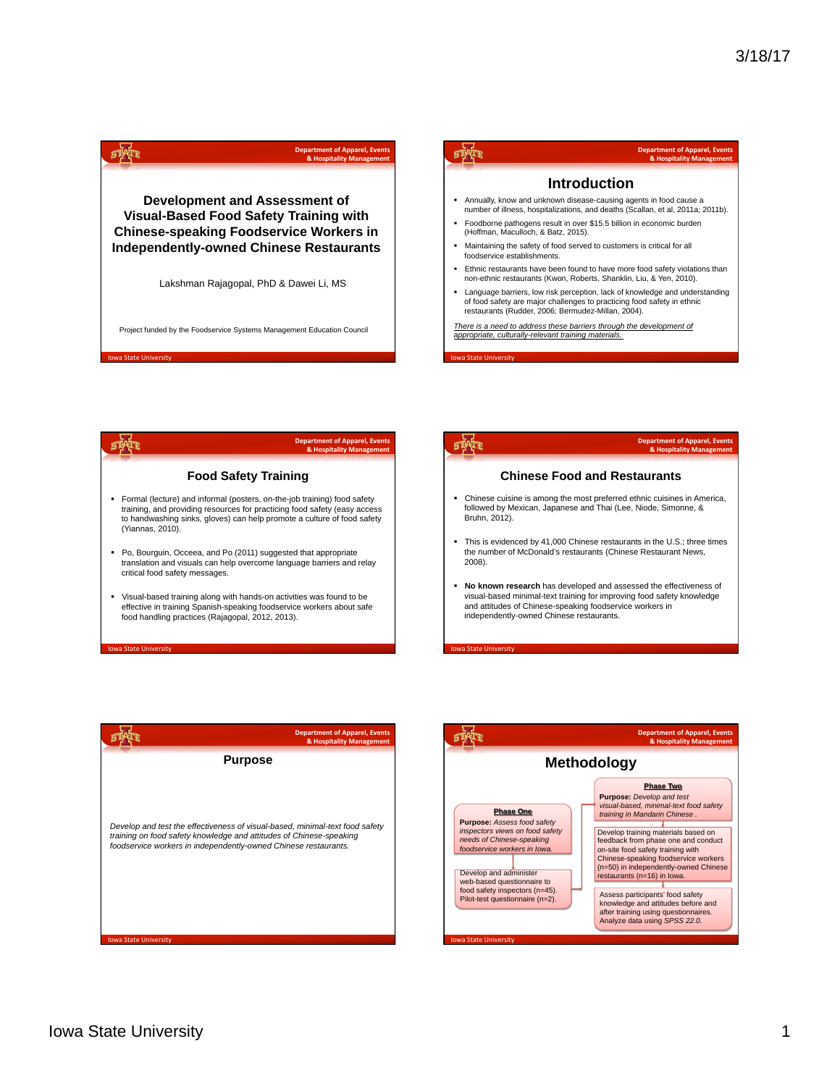|                                                                                | <b>Department of Apparel, Events</b><br>& Hospitality Management       |                                                                                                                                                      | <b>Department of Apparel, Events</b><br>& Hospitality Management                                                                                       |
|--------------------------------------------------------------------------------|------------------------------------------------------------------------|------------------------------------------------------------------------------------------------------------------------------------------------------|--------------------------------------------------------------------------------------------------------------------------------------------------------|
|                                                                                |                                                                        |                                                                                                                                                      | <b>Introduction</b>                                                                                                                                    |
| Development and Assessment of<br><b>Visual-Based Food Safety Training with</b> |                                                                        | Annually, know and unknown disease-causing agents in food cause a<br>number of illness, hospitalizations, and deaths (Scallan, et al, 2011a; 2011b). |                                                                                                                                                        |
|                                                                                | <b>Chinese-speaking Foodservice Workers in</b>                         | (Hoffman, Maculloch, & Batz, 2015).                                                                                                                  | Foodborne pathogens result in over \$15.5 billion in economic burden                                                                                   |
|                                                                                | <b>Independently-owned Chinese Restaurants</b>                         | ٠<br>foodservice establishments.                                                                                                                     | Maintaining the safety of food served to customers is critical for all                                                                                 |
|                                                                                | Lakshman Rajagopal, PhD & Dawei Li, MS                                 |                                                                                                                                                      | Ethnic restaurants have been found to have more food safety violations than<br>non-ethnic restaurants (Kwon, Roberts, Shanklin, Liu, & Yen, 2010).     |
|                                                                                |                                                                        | restaurants (Rudder, 2006; Bermudez-Millan, 2004).                                                                                                   | Language barriers, low risk perception, lack of knowledge and understanding<br>of food safety are major challenges to practicing food safety in ethnic |
|                                                                                | Project funded by the Foodservice Systems Management Education Council | appropriate, culturally-relevant training materials.                                                                                                 | There is a need to address these barriers through the development of                                                                                   |
| <b>Iowa State University</b>                                                   |                                                                        | <b>Iowa State University</b>                                                                                                                         |                                                                                                                                                        |
|                                                                                |                                                                        |                                                                                                                                                      |                                                                                                                                                        |
|                                                                                |                                                                        |                                                                                                                                                      |                                                                                                                                                        |
|                                                                                |                                                                        |                                                                                                                                                      |                                                                                                                                                        |
|                                                                                | <b>Department of Apparel, Events</b><br>& Hospitality Management       |                                                                                                                                                      | <b>Department of Apparel, Events</b><br>& Hospitality Management                                                                                       |
| <b>Food Safety Training</b>                                                    |                                                                        |                                                                                                                                                      | <b>Chinese Food and Restaurants</b>                                                                                                                    |
| • Formal (lecture) and informal (posters, on-the-iob training) food safety     |                                                                        |                                                                                                                                                      | Chinese cuisine is among the most preferred ethnic cuisines in America,                                                                                |

- training, and providing resources for practicing food safety (easy access to handwashing sinks, gloves) can help promote a culture of food safety (Yiannas, 2010). translation and visuals can help overcome language barriers and relay § Chinese cuisine is among the most preferred ethnic cuisines in America, followed by Mexican, Japanese and Thai (Lee, Niode, Simonne, & Bruhn, 2012). § This is evidenced by 41,000 Chinese restaurants in the U.S.; three times the number of McDonald's restaurants (Chinese Restaurant News, 2008).
	- § **No known research** has developed and assessed the effectiveness of visual-based minimal-text training for improving food safety knowledge and attitudes of Chinese-speaking foodservice workers in independently-owned Chinese restaurants.

**I**<br>State Univ



§ Po, Bourguin, Occeea, and Po (2011) suggested that appropriate

§ Visual-based training along with hands-on activities was found to be effective in training Spanish-speaking foodservice workers about safe food handling practices (Rajagopal, 2012, 2013).

critical food safety messages.

State Uni

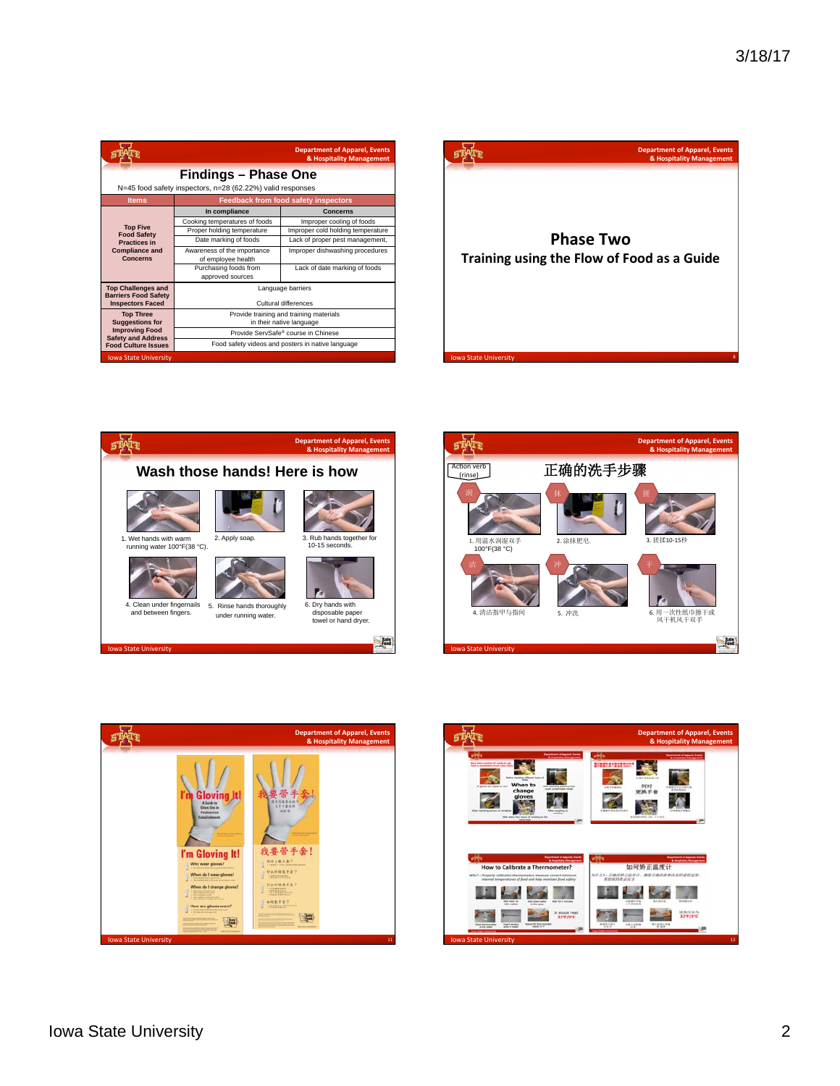|                                                                                           |                                                   | <b>Department of Apparel, Events</b><br>& Hospitality Management |  |  |  |
|-------------------------------------------------------------------------------------------|---------------------------------------------------|------------------------------------------------------------------|--|--|--|
| <b>Findings - Phase One</b><br>N=45 food safety inspectors, n=28 (62.22%) valid responses |                                                   |                                                                  |  |  |  |
| <b>Items</b>                                                                              | <b>Feedback from food safety inspectors</b>       |                                                                  |  |  |  |
|                                                                                           | In compliance                                     | Concerns                                                         |  |  |  |
|                                                                                           | Cooking temperatures of foods                     | Improper cooling of foods                                        |  |  |  |
| <b>Top Five</b><br><b>Food Safety</b>                                                     | Proper holding temperature                        | Improper cold holding temperature                                |  |  |  |
| <b>Practices in</b>                                                                       | Date marking of foods                             | Lack of proper pest management,                                  |  |  |  |
| <b>Compliance and</b><br>Concerns                                                         | Awareness of the importance<br>of employee health | Improper dishwashing procedures                                  |  |  |  |
|                                                                                           | Purchasing foods from<br>approved sources         | Lack of date marking of foods                                    |  |  |  |
| <b>Top Challenges and</b>                                                                 | Language barriers                                 |                                                                  |  |  |  |
| <b>Barriers Food Safety</b><br><b>Inspectors Faced</b>                                    | Cultural differences                              |                                                                  |  |  |  |
| <b>Top Three</b>                                                                          | Provide training and training materials           |                                                                  |  |  |  |
| <b>Suggestions for</b>                                                                    | in their native language                          |                                                                  |  |  |  |
| <b>Improving Food</b><br><b>Safety and Address</b>                                        | Provide ServSafe® course in Chinese               |                                                                  |  |  |  |
| <b>Food Culture Issues</b>                                                                | Food safety videos and posters in native language |                                                                  |  |  |  |
| <b>Iowa State University</b>                                                              |                                                   |                                                                  |  |  |  |









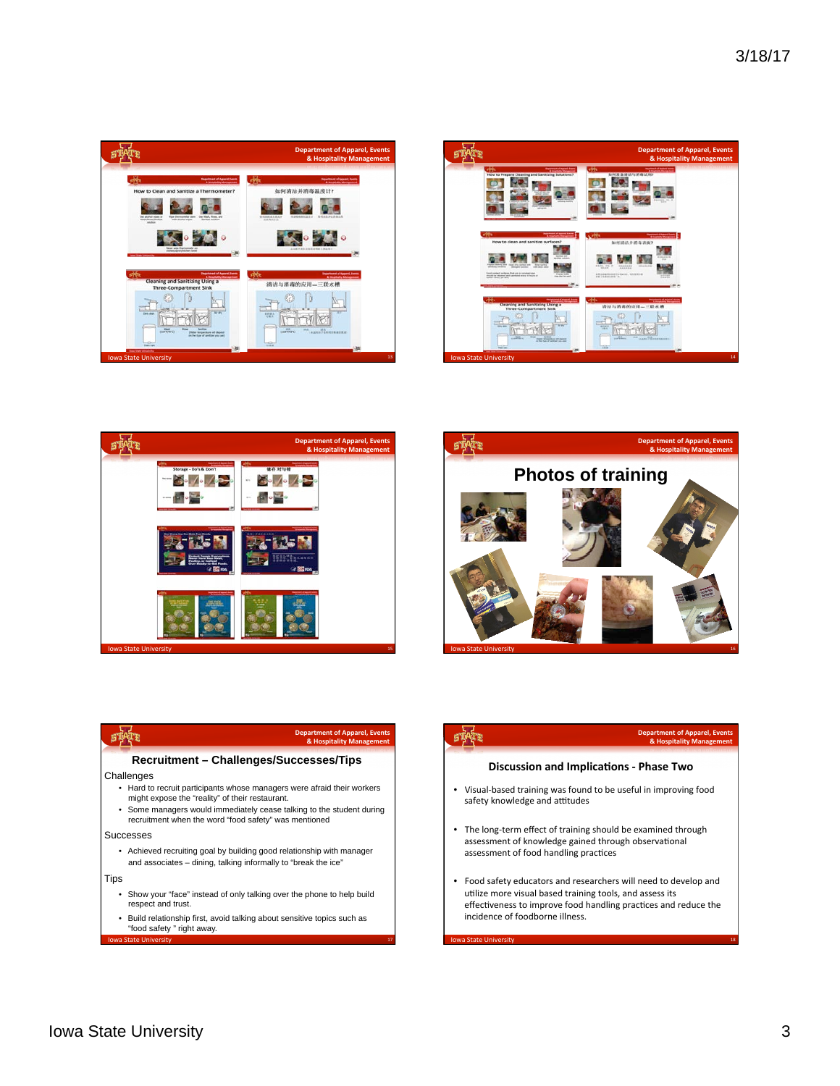











## **Department of Apparel, Events**<br>**& Hospitality Management**

## **Discussion and Implications - Phase Two**

乘

- Visual-based training was found to be useful in improving food safety knowledge and attitudes
- The long-term effect of training should be examined through assessment of knowledge gained through observational assessment of food handling practices
- Food safety educators and researchers will need to develop and utilize more visual based training tools, and assess its effectiveness to improve food handling practices and reduce the incidence of foodborne illness.

18 Iowa State University (18 Iowa State University of the University of the University of the University of the U